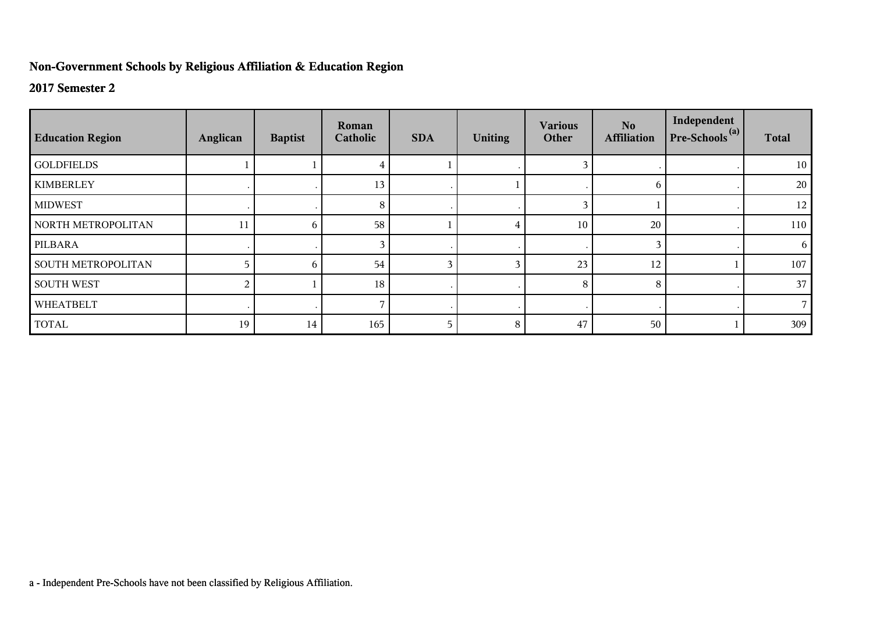## **Non-Government Schools by Religious Affiliation & Education Region**

## **2017 Semester 2**

| <b>Education Region</b>   | Anglican | <b>Baptist</b> | Roman<br>Catholic | <b>SDA</b> | <b>Uniting</b> | <b>Various</b><br>Other | No.<br><b>Affiliation</b> | Independent<br>$Pre-Schools(a)$ | <b>Total</b> |
|---------------------------|----------|----------------|-------------------|------------|----------------|-------------------------|---------------------------|---------------------------------|--------------|
| <b>GOLDFIELDS</b>         |          |                |                   |            |                |                         |                           |                                 | 10           |
| <b>KIMBERLEY</b>          |          |                | 13                |            |                |                         | 6                         |                                 | 20           |
| <b>MIDWEST</b>            |          |                | 8                 |            |                | 3                       |                           |                                 | 12           |
| NORTH METROPOLITAN        | 11       | 6              | 58                |            |                | 10                      | 20                        |                                 | 110          |
| PILBARA                   |          |                |                   |            |                |                         | 3                         |                                 | 6            |
| <b>SOUTH METROPOLITAN</b> |          | 6              | 54                | 3          |                | 23                      | 12                        |                                 | 107          |
| <b>SOUTH WEST</b>         | 2        |                | 18                |            |                | 8                       | 8                         |                                 | 37           |
| WHEATBELT                 |          |                |                   | $\cdot$    |                |                         |                           |                                 |              |
| <b>TOTAL</b>              | 19       | 14             | 165               | 5          | 8              | 47                      | 50                        |                                 | 309          |